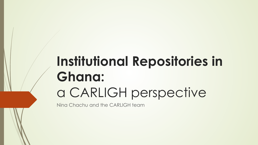# **Institutional Repositories in Ghana:**  a CARLIGH perspective

Nina Chachu and the CARLIGH team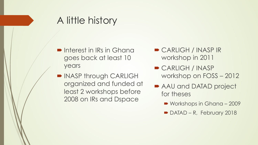### A little history

- Interest in IRs in Ghana goes back at least 10 years
- INASP through CARLIGH organized and funded at least 2 workshops before 2008 on IRs and Dspace
- $\triangleright$  CARLIGH / INASP IR workshop in 2011
- $\blacktriangleright$  CARLIGH / INASP workshop on FOSS – 2012
- AAU and DATAD project for theses
	- Workshops in Ghana 2009
	- $\blacktriangleright$  DATAD R, February 2018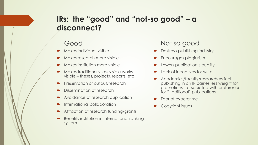### **IRs: the "good" and "not-so good" – a disconnect?**

#### Good

- ´ Makes individual visible
- Makes research more visible
- ´ Makes institution more visible
- $\blacksquare$  Makes traditionally less visible works visible – theses, projects, reports, etc
- Preservation of output/research
- Dissemination of research
- Avoidance of research duplication
- International collaboration
- Attraction of research funding/grants
- Benefits institution in international ranking system

#### Not so good

- Destroys publishing industry
- Encourages plagiarism
- Lowers publication's quality
- Lack of incentives for writers
- Academics/faculty/researchers feel publishing in an IR carries less weight for promotions – associated with preference for "traditional" publications
- Fear of cybercrime
- Copyright issues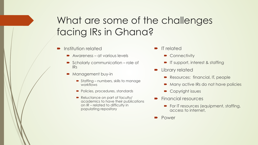## What are some of the challenges facing IRs in Ghana?

- Institution related
	- $\rightarrow$  Awareness at various levels
	- $\triangleright$  Scholarly communication role of IRs
	- Management buy-in
		- $\rightarrow$  Staffing numbers, skills to manage workflows
		- Policies, procedures, standards
		- Reluctance on part of faculty/ academics to have their publications on IR – related to difficulty in populating repository
- IT related
	- $\bullet$  Connectivity
	- **T** IT support, interest & staffing
- Library related
	- Resources: financial, IT, people
	- Many active IRs do not have policies
	- Copyright issues
- Financial resources
	- For IT resources (equipment, staffing, access to internet,
- Power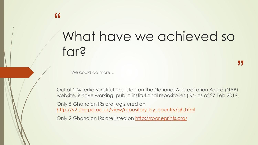# What have we achieved so far?

"

We could do more…

"

Out of 204 tertiary institutions listed on the National Accreditation Board (NAB) website, 9 have working, public institutional repositories (IRs) as of 27 Feb 2019.

Only 5 Ghanaian IRs are registered on http://v2.sherpa.ac.uk/view/repository\_by\_country/gh.html

Only 2 Ghanaian IRs are listed on http://roar.eprints.org/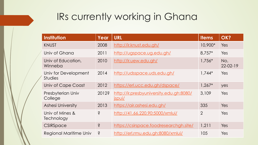## IRs currently working in Ghana

| <b>Institution</b>                     | Year  | <b>URL</b>                                                      | <b>Items</b>   | OK?                   |
|----------------------------------------|-------|-----------------------------------------------------------------|----------------|-----------------------|
| <b>KNUST</b>                           | 2008  | http://ir.knust.edu.gh/                                         | 10,900*        | Yes                   |
| Univ of Ghana                          | 2011  | http://ugspace.ug.edu.gh/                                       | $8.757*$       | Yes                   |
| Univ of Education,<br>Winneba          | 2010  | http://ir.uew.edu.gh/                                           | $1,756*$       | No,<br>$22 - 02 - 19$ |
| Univ for Development<br><b>Studies</b> | 2014  | http://udsspace.uds.edu.gh/                                     | $1,744*$       | Yes                   |
| Univ of Cape Coast                     | 2012  | https://erl.ucc.edu.gh/dspace/                                  | $1,267*$       | yes                   |
| Presbyterian Univ<br>College           | 2012? | http://ir.presbyuniversity.edu.gh:8080/<br><i><u>ispui/</u></i> | 3,109          | Yes                   |
| <b>Ashesi University</b>               | 2013  | https://air.ashesi.edu.gh/                                      | 335            | Yes                   |
| Univ of Mines &<br>Technology          | Ś     | http://41.66.220.90:5000/xmlui/                                 | $\overline{2}$ | Yes                   |
| CSIRSpace                              | Ŝ     | https://csirspace.foodresearchgh.site/                          | 1,211          | Yes                   |
| Regional Maritime Univ                 | Ş     | http://erl.rmu.edu.gh:8080/xmlui/                               | 105            | Yes                   |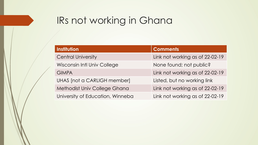### IRs not working in Ghana

| <b>Institution</b>               | <b>Comments</b>                 |  |  |
|----------------------------------|---------------------------------|--|--|
| <b>Central University</b>        | Link not working as of 22-02-19 |  |  |
| Wisconsin Intl Univ College      | None found; not public?         |  |  |
| <b>GIMPA</b>                     | Link not working as of 22-02-19 |  |  |
| UHAS [not a CARLIGH member]      | Listed, but no working link     |  |  |
| Methodist Univ College Ghana     | Link not working as of 22-02-19 |  |  |
| University of Education, Winneba | Link not working as of 22-02-19 |  |  |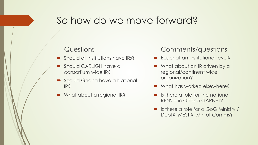### So how do we move forward?

#### **Questions**

- $\blacksquare$  Should all institutions have IRs?
- Should CARLIGH have a consortium wide IR?
- Should Ghana have a National IR?
- What about a regional IR?

#### Comments/questions

- $\blacksquare$  Easier at an institutional level?
- What about an IR driven by a regional/continent wide organization?
- $\blacksquare$  What has worked elsewhere?
- $\blacksquare$  Is there a role for the national REN? – in Ghana GARNET?
- Is there a role for a GoG Ministry / Dept? MESTI? Min of Comms?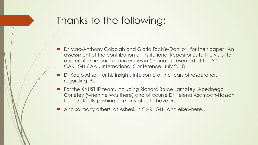### Thanks to the following:

- Dr Mac-Anthony Cobblah and Gloria Tachie-Donkor: for their paper "An assessment of the contribution of Institutional Repositories to the visibility and citation impact of universities in Ghana", presented at the 3rd CARLIGH / AAU International Conference, July 2018
- Dr Kodjo Atiso: for his insights into some of the fears of researchers regarding IRs
- For the KNUST IR team, including Richard Bruce Lamptey, Abednego Corletey (when he was there) and of course Dr Helena Asamoah-Hassan, for constantly pushing so many of us to have IRs
- And so many others, at Ashesi, in CARLIGH, and elsewhere...